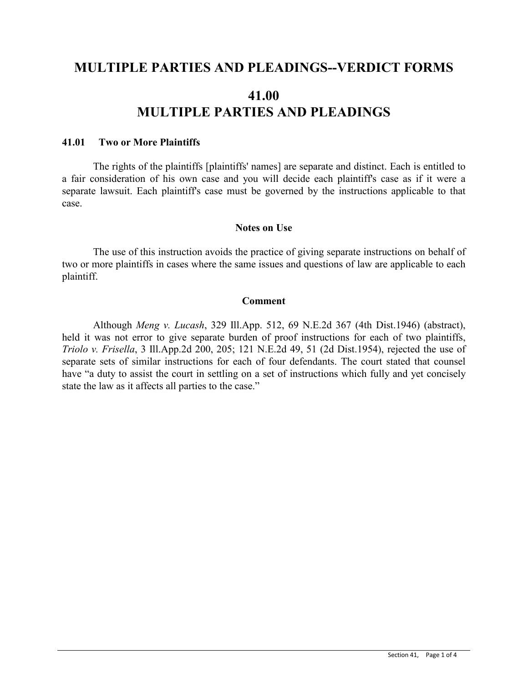## **MULTIPLE PARTIES AND PLEADINGS--VERDICT FORMS**

# **41.00 MULTIPLE PARTIES AND PLEADINGS**

#### **41.01 Two or More Plaintiffs**

The rights of the plaintiffs [plaintiffs' names] are separate and distinct. Each is entitled to a fair consideration of his own case and you will decide each plaintiff's case as if it were a separate lawsuit. Each plaintiff's case must be governed by the instructions applicable to that case.

#### **Notes on Use**

The use of this instruction avoids the practice of giving separate instructions on behalf of two or more plaintiffs in cases where the same issues and questions of law are applicable to each plaintiff.

#### **Comment**

Although *Meng v. Lucash*, 329 Ill.App. 512, 69 N.E.2d 367 (4th Dist.1946) (abstract), held it was not error to give separate burden of proof instructions for each of two plaintiffs, *Triolo v. Frisella*, 3 Ill.App.2d 200, 205; 121 N.E.2d 49, 51 (2d Dist.1954), rejected the use of separate sets of similar instructions for each of four defendants. The court stated that counsel have "a duty to assist the court in settling on a set of instructions which fully and yet concisely state the law as it affects all parties to the case."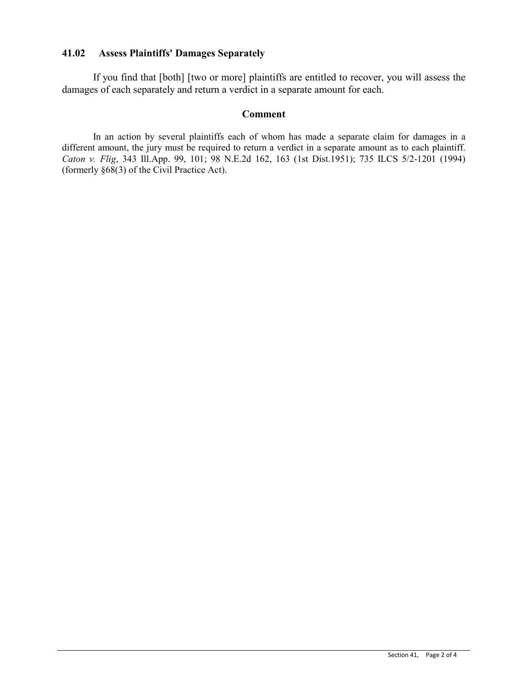## **41.02 Assess Plaintiffs' Damages Separately**

If you find that [both] [two or more] plaintiffs are entitled to recover, you will assess the damages of each separately and return a verdict in a separate amount for each.

## **Comment**

In an action by several plaintiffs each of whom has made a separate claim for damages in a different amount, the jury must be required to return a verdict in a separate amount as to each plaintiff. *Caton v. Flig*, 343 Ill.App. 99, 101; 98 N.E.2d 162, 163 (1st Dist.1951); 735 ILCS 5/2-1201 (1994) (formerly §68(3) of the Civil Practice Act).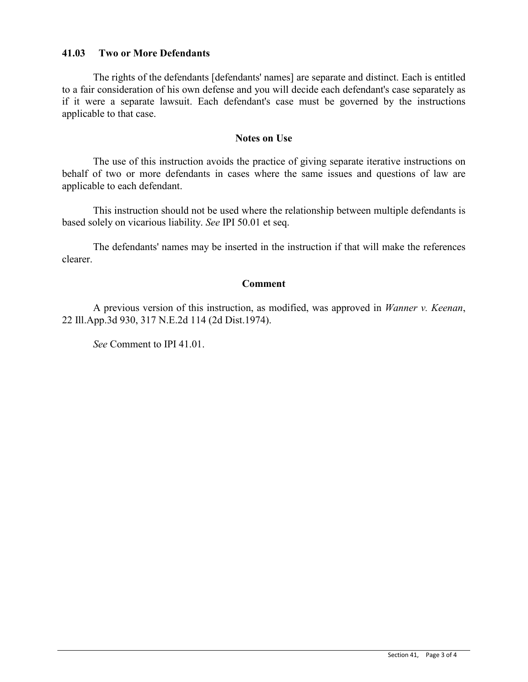## **41.03 Two or More Defendants**

The rights of the defendants [defendants' names] are separate and distinct. Each is entitled to a fair consideration of his own defense and you will decide each defendant's case separately as if it were a separate lawsuit. Each defendant's case must be governed by the instructions applicable to that case.

#### **Notes on Use**

The use of this instruction avoids the practice of giving separate iterative instructions on behalf of two or more defendants in cases where the same issues and questions of law are applicable to each defendant.

This instruction should not be used where the relationship between multiple defendants is based solely on vicarious liability. *See* IPI 50.01 et seq.

The defendants' names may be inserted in the instruction if that will make the references clearer.

#### **Comment**

A previous version of this instruction, as modified, was approved in *Wanner v. Keenan*, 22 Ill.App.3d 930, 317 N.E.2d 114 (2d Dist.1974).

*See* Comment to IPI 41.01.